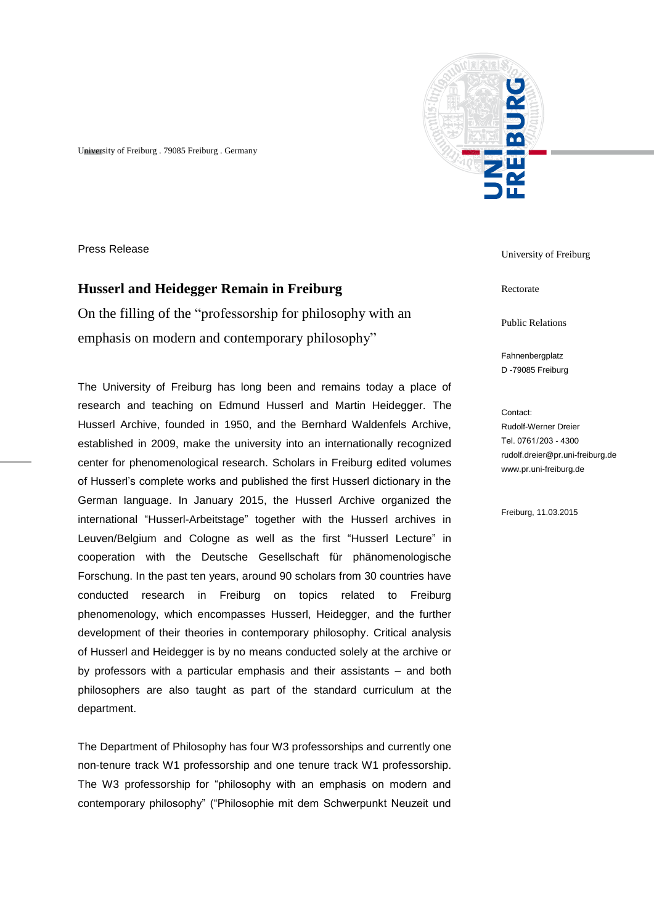University of Freiburg . 79085 Freiburg . Germany



## **Husserl and Heidegger Remain in Freiburg**

On the filling of the "professorship for philosophy with an emphasis on modern and contemporary philosophy"

The University of Freiburg has long been and remains today a place of research and teaching on Edmund Husserl and Martin Heidegger. The Husserl Archive, founded in 1950, and the Bernhard Waldenfels Archive, established in 2009, make the university into an internationally recognized center for phenomenological research. Scholars in Freiburg edited volumes of Husserl's complete works and published the first Husserl dictionary in the German language. In January 2015, the Husserl Archive organized the international "Husserl-Arbeitstage" together with the Husserl archives in Leuven/Belgium and Cologne as well as the first "Husserl Lecture" in cooperation with the Deutsche Gesellschaft für phänomenologische Forschung. In the past ten years, around 90 scholars from 30 countries have conducted research in Freiburg on topics related to Freiburg phenomenology, which encompasses Husserl, Heidegger, and the further development of their theories in contemporary philosophy. Critical analysis of Husserl and Heidegger is by no means conducted solely at the archive or by professors with a particular emphasis and their assistants – and both philosophers are also taught as part of the standard curriculum at the department.

The Department of Philosophy has four W3 professorships and currently one non-tenure track W1 professorship and one tenure track W1 professorship. The W3 professorship for "philosophy with an emphasis on modern and contemporary philosophy" ("Philosophie mit dem Schwerpunkt Neuzeit und



Rectorate

Public Relations

Fahnenbergplatz D -79085 Freiburg

Contact: Rudolf-Werner Dreier Tel. 0761 / 203 - 4300 rudolf.dreier@pr.uni-freiburg.de www.pr.uni-freiburg.de

Freiburg, 11.03.2015